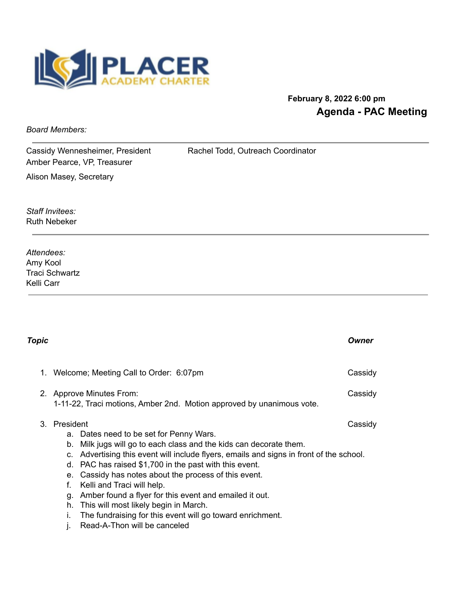

## **February 8, 2022 6:00 pm Agenda - PAC Meeting**

*Board Members:*

Cassidy Wennesheimer, President Rachel Todd, Outreach Coordinator Amber Pearce, VP, Treasurer Alison Masey, Secretary

*Staff Invitees:* Ruth Nebeker

*Attendees:* Amy Kool Traci Schwartz Kelli Carr

| Topic |                                                                                     |                                                                                                                                                                                                                                                                                                                                                                                                                                                                                                                                            | Owner   |  |
|-------|-------------------------------------------------------------------------------------|--------------------------------------------------------------------------------------------------------------------------------------------------------------------------------------------------------------------------------------------------------------------------------------------------------------------------------------------------------------------------------------------------------------------------------------------------------------------------------------------------------------------------------------------|---------|--|
|       | Welcome; Meeting Call to Order: 6:07pm                                              |                                                                                                                                                                                                                                                                                                                                                                                                                                                                                                                                            | Cassidy |  |
|       |                                                                                     | 2. Approve Minutes From:<br>Cassidy<br>1-11-22, Traci motions, Amber 2nd. Motion approved by unanimous vote.                                                                                                                                                                                                                                                                                                                                                                                                                               |         |  |
| 3     | President<br>a.<br>b.<br>$C_{r}$<br>d.<br>$e_{\cdot}$<br>f.<br>g.<br>h.<br>İ.<br>J. | Dates need to be set for Penny Wars.<br>Milk jugs will go to each class and the kids can decorate them.<br>Advertising this event will include flyers, emails and signs in front of the school.<br>PAC has raised \$1,700 in the past with this event.<br>Cassidy has notes about the process of this event.<br>Kelli and Traci will help.<br>Amber found a flyer for this event and emailed it out.<br>This will most likely begin in March.<br>The fundraising for this event will go toward enrichment.<br>Read-A-Thon will be canceled | Cassidy |  |